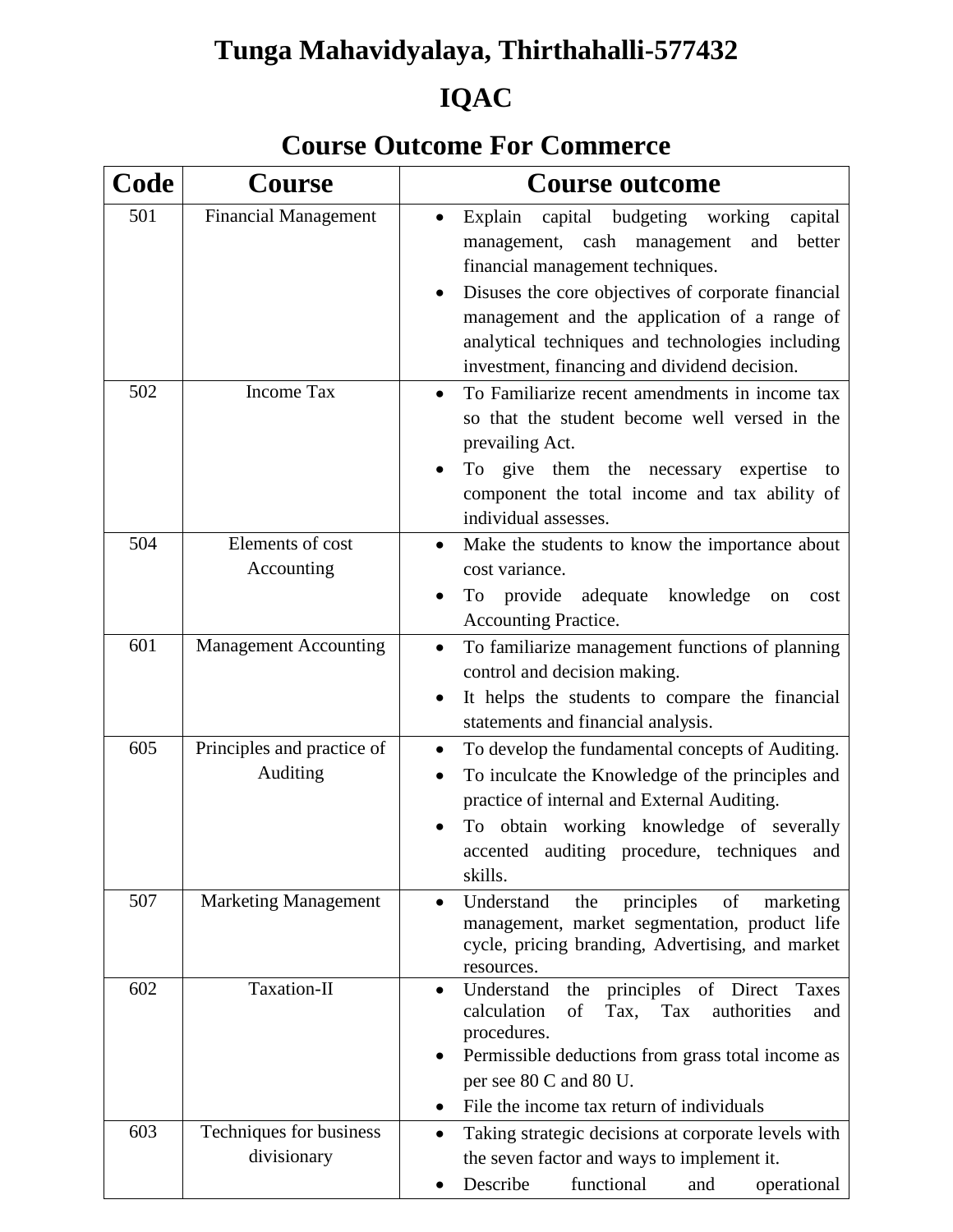# **Tunga Mahavidyalaya, Thirthahalli-577432**

# **IQAC**

## **Course Outcome For Commerce**

| Code | <b>Course</b>                          | <b>Course outcome</b>                                                                                                                                                                                                                                                                                                                         |
|------|----------------------------------------|-----------------------------------------------------------------------------------------------------------------------------------------------------------------------------------------------------------------------------------------------------------------------------------------------------------------------------------------------|
| 501  | <b>Financial Management</b>            | capital budgeting working<br>Explain<br>capital<br>management, cash management<br>better<br>and<br>financial management techniques.<br>Disuses the core objectives of corporate financial<br>management and the application of a range of<br>analytical techniques and technologies including<br>investment, financing and dividend decision. |
| 502  | <b>Income Tax</b>                      | To Familiarize recent amendments in income tax<br>$\bullet$<br>so that the student become well versed in the<br>prevailing Act.<br>To give them the necessary expertise<br>to<br>component the total income and tax ability of<br>individual assesses.                                                                                        |
| 504  | Elements of cost<br>Accounting         | Make the students to know the importance about<br>cost variance.<br>provide adequate<br>knowledge<br>To<br>on<br>cost<br>Accounting Practice.                                                                                                                                                                                                 |
| 601  | <b>Management Accounting</b>           | To familiarize management functions of planning<br>control and decision making.<br>It helps the students to compare the financial<br>statements and financial analysis.                                                                                                                                                                       |
| 605  | Principles and practice of<br>Auditing | To develop the fundamental concepts of Auditing.<br>$\bullet$<br>To inculcate the Knowledge of the principles and<br>practice of internal and External Auditing.<br>To obtain working knowledge of severally<br>accented auditing procedure, techniques and<br>skills.                                                                        |
| 507  | <b>Marketing Management</b>            | Understand<br>principles<br>of<br>the<br>marketing<br>management, market segmentation, product life<br>cycle, pricing branding, Advertising, and market<br>resources.                                                                                                                                                                         |
| 602  | Taxation-II                            | principles of Direct<br>Understand<br>the<br>Taxes<br>$\bullet$<br>calculation<br>of<br>Tax.<br>Tax<br>authorities<br>and<br>procedures.<br>Permissible deductions from grass total income as<br>per see 80 C and 80 U.<br>File the income tax return of individuals                                                                          |
| 603  | Techniques for business<br>divisionary | Taking strategic decisions at corporate levels with<br>the seven factor and ways to implement it.<br>Describe<br>functional<br>operational<br>and                                                                                                                                                                                             |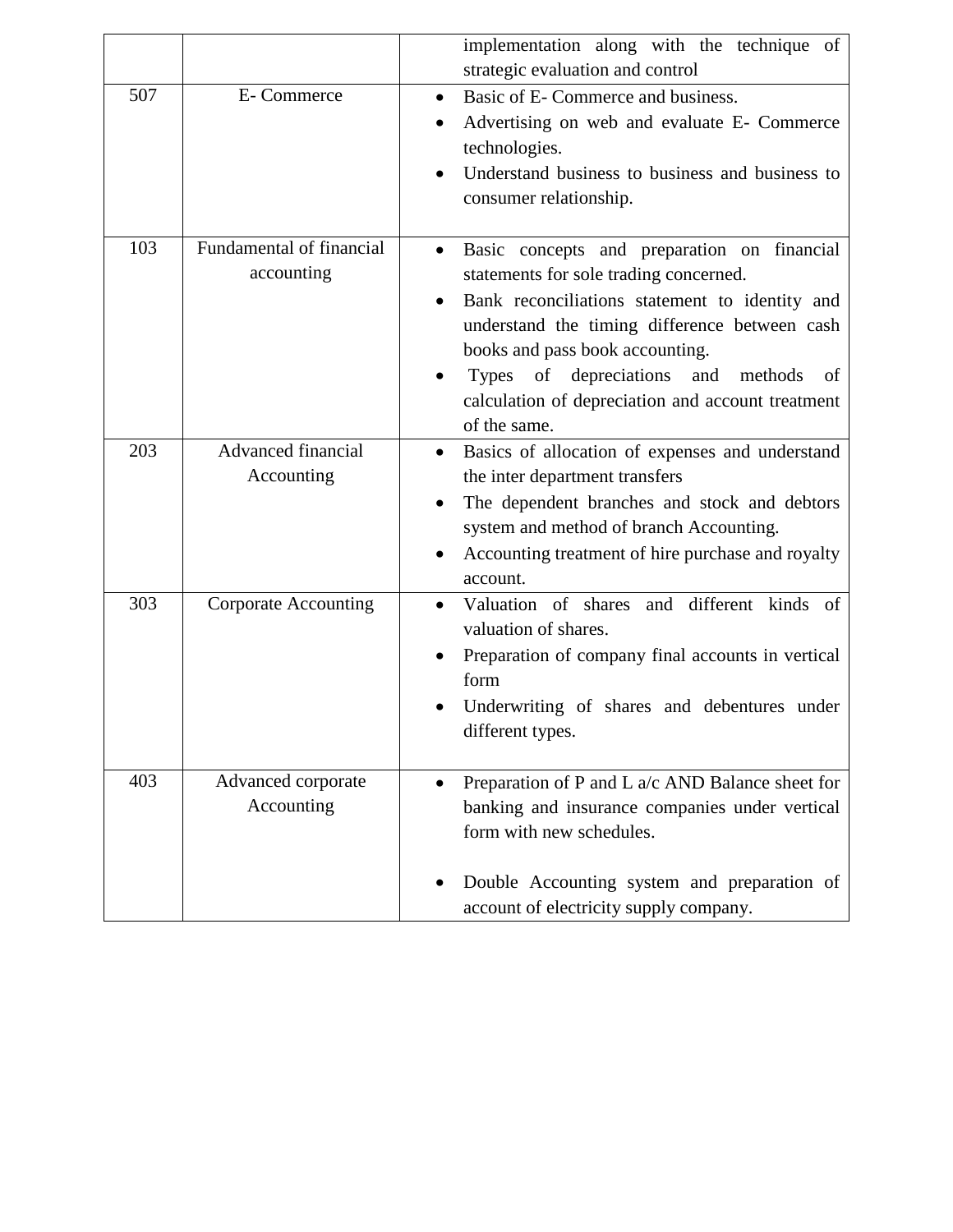|     |                                         | implementation along with the technique of<br>strategic evaluation and control                                                                                                                                                                                                                                                                     |
|-----|-----------------------------------------|----------------------------------------------------------------------------------------------------------------------------------------------------------------------------------------------------------------------------------------------------------------------------------------------------------------------------------------------------|
| 507 | E-Commerce                              | Basic of E- Commerce and business.<br>Advertising on web and evaluate E- Commerce<br>technologies.<br>Understand business to business and business to<br>consumer relationship.                                                                                                                                                                    |
| 103 | Fundamental of financial<br>accounting  | Basic concepts and preparation on financial<br>statements for sole trading concerned.<br>Bank reconciliations statement to identity and<br>understand the timing difference between cash<br>books and pass book accounting.<br>Types of depreciations<br>and<br>methods<br>of<br>calculation of depreciation and account treatment<br>of the same. |
| 203 | <b>Advanced financial</b><br>Accounting | Basics of allocation of expenses and understand<br>the inter department transfers<br>The dependent branches and stock and debtors<br>system and method of branch Accounting.<br>Accounting treatment of hire purchase and royalty<br>account.                                                                                                      |
| 303 | <b>Corporate Accounting</b>             | Valuation of shares and different kinds of<br>valuation of shares.<br>Preparation of company final accounts in vertical<br>form<br>Underwriting of shares and debentures under<br>different types.                                                                                                                                                 |
| 403 | Advanced corporate<br>Accounting        | Preparation of P and L a/c AND Balance sheet for<br>banking and insurance companies under vertical<br>form with new schedules.<br>Double Accounting system and preparation of<br>account of electricity supply company.                                                                                                                            |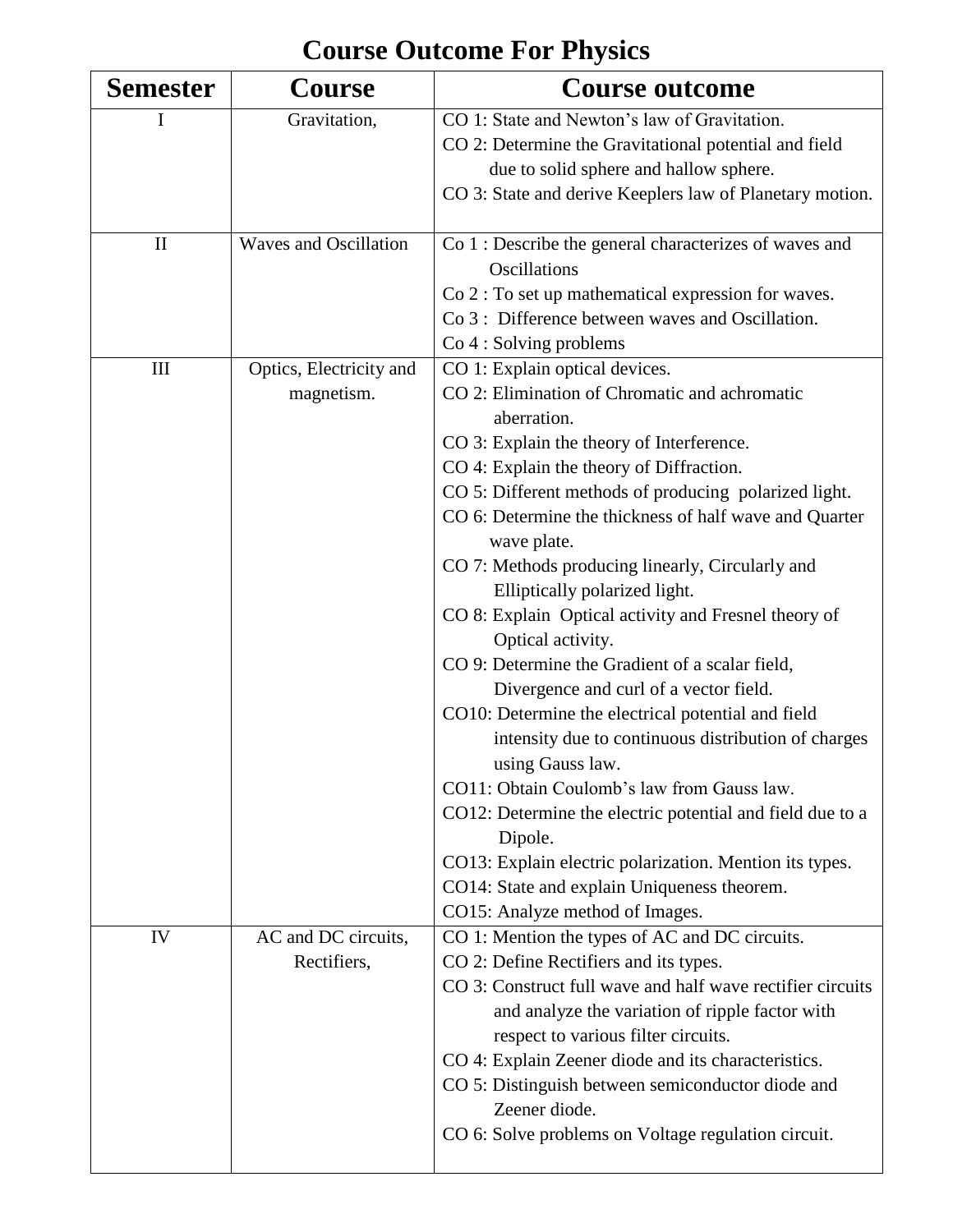#### **Semester Course Course outcome** I Gravitation, CO 1: State and Newton's law of Gravitation. CO 2: Determine the Gravitational potential and field due to solid sphere and hallow sphere. CO 3: State and derive Keeplers law of Planetary motion. II Waves and Oscillation  $\vert$  Co 1 : Describe the general characterizes of waves and **Oscillations** Co 2 : To set up mathematical expression for waves. Co 3 : Difference between waves and Oscillation. Co 4 : Solving problems III Optics, Electricity and magnetism. CO 1: Explain optical devices. CO 2: Elimination of Chromatic and achromatic aberration. CO 3: Explain the theory of Interference. CO 4: Explain the theory of Diffraction. CO 5: Different methods of producing polarized light. CO 6: Determine the thickness of half wave and Quarter wave plate. CO 7: Methods producing linearly, Circularly and Elliptically polarized light. CO 8: Explain Optical activity and Fresnel theory of Optical activity. CO 9: Determine the Gradient of a scalar field, Divergence and curl of a vector field. CO10: Determine the electrical potential and field intensity due to continuous distribution of charges using Gauss law. CO11: Obtain Coulomb's law from Gauss law. CO12: Determine the electric potential and field due to a Dipole. CO13: Explain electric polarization. Mention its types. CO14: State and explain Uniqueness theorem. CO15: Analyze method of Images. IV AC and DC circuits, Rectifiers, CO 1: Mention the types of AC and DC circuits. CO 2: Define Rectifiers and its types. CO 3: Construct full wave and half wave rectifier circuits and analyze the variation of ripple factor with respect to various filter circuits. CO 4: Explain Zeener diode and its characteristics. CO 5: Distinguish between semiconductor diode and Zeener diode. CO 6: Solve problems on Voltage regulation circuit.

#### **Course Outcome For Physics**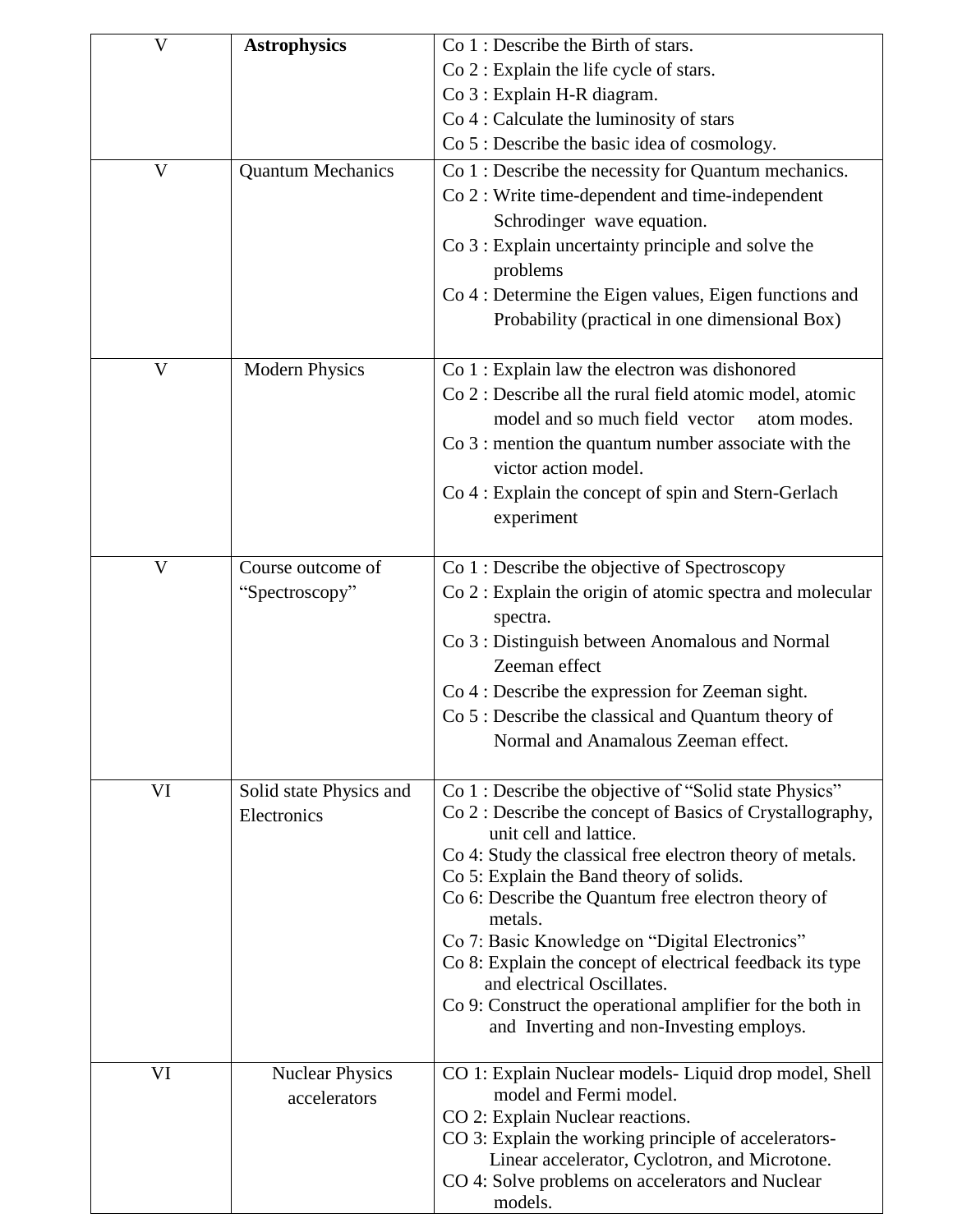| V  | <b>Astrophysics</b>      | $Co1: Describe the Birth of stars.$                                                      |
|----|--------------------------|------------------------------------------------------------------------------------------|
|    |                          | Co 2 : Explain the life cycle of stars.                                                  |
|    |                          | Co 3 : Explain H-R diagram.                                                              |
|    |                          | Co 4 : Calculate the luminosity of stars                                                 |
|    |                          | Co 5 : Describe the basic idea of cosmology.                                             |
| V  | <b>Quantum Mechanics</b> | Co 1 : Describe the necessity for Quantum mechanics.                                     |
|    |                          | Co 2 : Write time-dependent and time-independent                                         |
|    |                          | Schrodinger wave equation.                                                               |
|    |                          | Co 3 : Explain uncertainty principle and solve the                                       |
|    |                          | problems                                                                                 |
|    |                          | Co 4 : Determine the Eigen values, Eigen functions and                                   |
|    |                          | Probability (practical in one dimensional Box)                                           |
| V  | <b>Modern Physics</b>    | Co 1 : Explain law the electron was dishonored                                           |
|    |                          | Co 2 : Describe all the rural field atomic model, atomic                                 |
|    |                          | model and so much field vector<br>atom modes.                                            |
|    |                          | $Co$ 3 : mention the quantum number associate with the                                   |
|    |                          | victor action model.                                                                     |
|    |                          | Co 4 : Explain the concept of spin and Stern-Gerlach                                     |
|    |                          | experiment                                                                               |
| V  | Course outcome of        | Co 1 : Describe the objective of Spectroscopy                                            |
|    | "Spectroscopy"           | Co 2 : Explain the origin of atomic spectra and molecular                                |
|    |                          | spectra.                                                                                 |
|    |                          | Co 3 : Distinguish between Anomalous and Normal                                          |
|    |                          | Zeeman effect                                                                            |
|    |                          | Co 4 : Describe the expression for Zeeman sight.                                         |
|    |                          | Co 5 : Describe the classical and Quantum theory of                                      |
|    |                          | Normal and Anamalous Zeeman effect.                                                      |
| VI | Solid state Physics and  | Co 1 : Describe the objective of "Solid state Physics"                                   |
|    | Electronics              | Co 2 : Describe the concept of Basics of Crystallography,                                |
|    |                          | unit cell and lattice.<br>Co 4: Study the classical free electron theory of metals.      |
|    |                          | Co 5: Explain the Band theory of solids.                                                 |
|    |                          | Co 6: Describe the Quantum free electron theory of                                       |
|    |                          | metals.                                                                                  |
|    |                          | Co 7: Basic Knowledge on "Digital Electronics"                                           |
|    |                          | Co 8: Explain the concept of electrical feedback its type<br>and electrical Oscillates.  |
|    |                          | Co 9: Construct the operational amplifier for the both in                                |
|    |                          | and Inverting and non-Investing employs.                                                 |
| VI | <b>Nuclear Physics</b>   | CO 1: Explain Nuclear models-Liquid drop model, Shell                                    |
|    | accelerators             | model and Fermi model.                                                                   |
|    |                          | CO 2: Explain Nuclear reactions.<br>CO 3: Explain the working principle of accelerators- |
|    |                          | Linear accelerator, Cyclotron, and Microtone.                                            |
|    |                          | CO 4: Solve problems on accelerators and Nuclear                                         |
|    |                          | models.                                                                                  |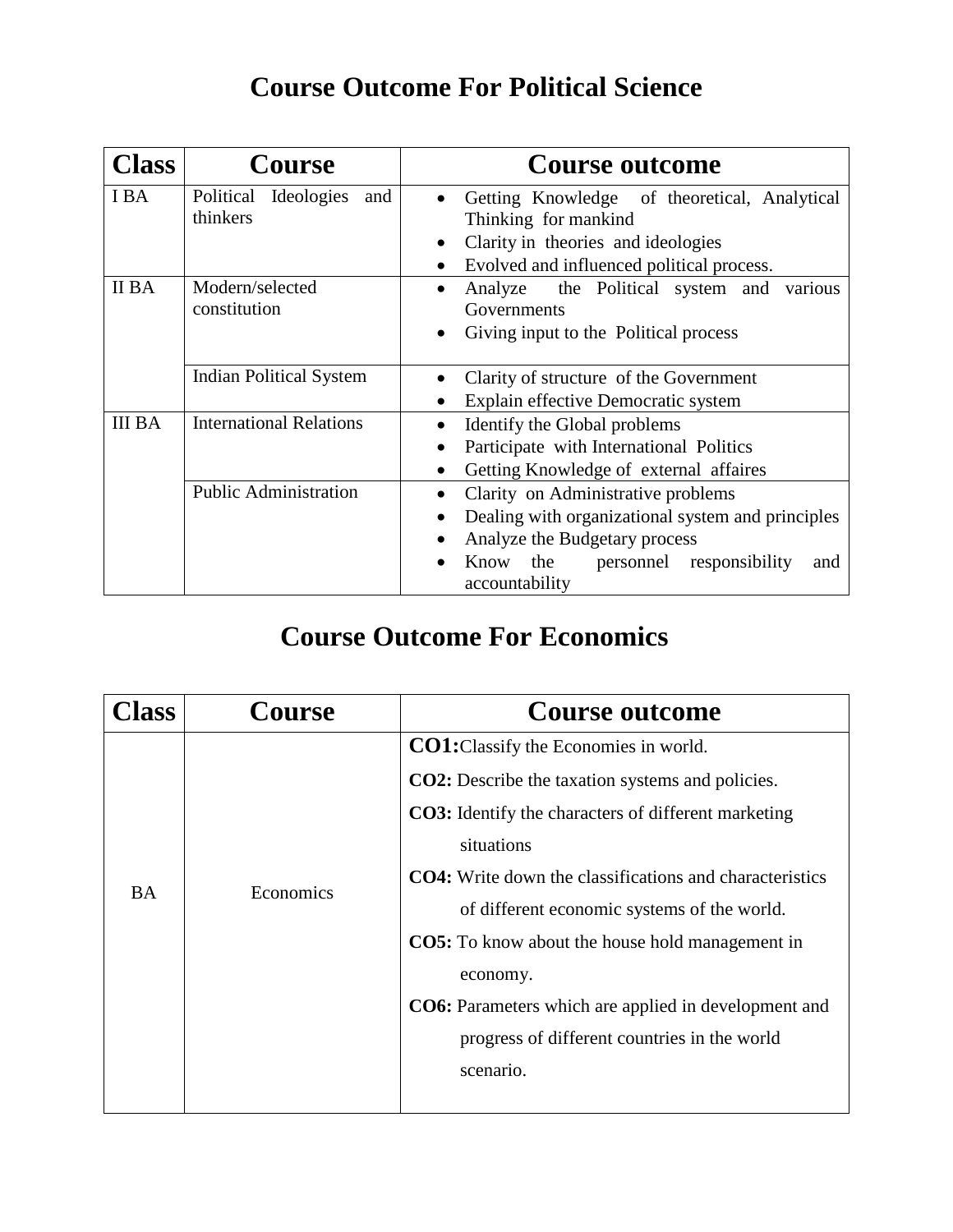## **Course Outcome For Political Science**

| <b>Class</b>  | <b>Course</b>                  | <b>Course outcome</b>                                            |
|---------------|--------------------------------|------------------------------------------------------------------|
| I BA          | Political Ideologies<br>and    | Getting Knowledge of theoretical, Analytical                     |
|               | thinkers                       | Thinking for mankind                                             |
|               |                                | Clarity in theories and ideologies<br>$\bullet$                  |
|               |                                | Evolved and influenced political process.                        |
| <b>II BA</b>  | Modern/selected                | Analyze the Political system and<br>various                      |
|               | constitution                   | Governments                                                      |
|               |                                | Giving input to the Political process                            |
|               |                                |                                                                  |
|               | Indian Political System        | Clarity of structure of the Government                           |
|               |                                | Explain effective Democratic system                              |
| <b>III BA</b> | <b>International Relations</b> | Identify the Global problems                                     |
|               |                                | Participate with International Politics                          |
|               |                                | Getting Knowledge of external affaires                           |
|               | <b>Public Administration</b>   | Clarity on Administrative problems                               |
|               |                                | Dealing with organizational system and principles                |
|               |                                | Analyze the Budgetary process                                    |
|               |                                | the<br>personnel responsibility<br>Know<br>and<br>accountability |

#### **Course Outcome For Economics**

| lass      | Course    | <b>Course outcome</b>                                                                                                                                                                                                                          |
|-----------|-----------|------------------------------------------------------------------------------------------------------------------------------------------------------------------------------------------------------------------------------------------------|
| <b>BA</b> | Economics | <b>CO1:</b> Classify the Economies in world.<br>CO2: Describe the taxation systems and policies.<br><b>CO3:</b> Identify the characters of different marketing<br>situations<br><b>CO4:</b> Write down the classifications and characteristics |
|           |           | of different economic systems of the world.<br><b>CO5:</b> To know about the house hold management in<br>economy.<br><b>CO6:</b> Parameters which are applied in development and<br>progress of different countries in the world<br>scenario.  |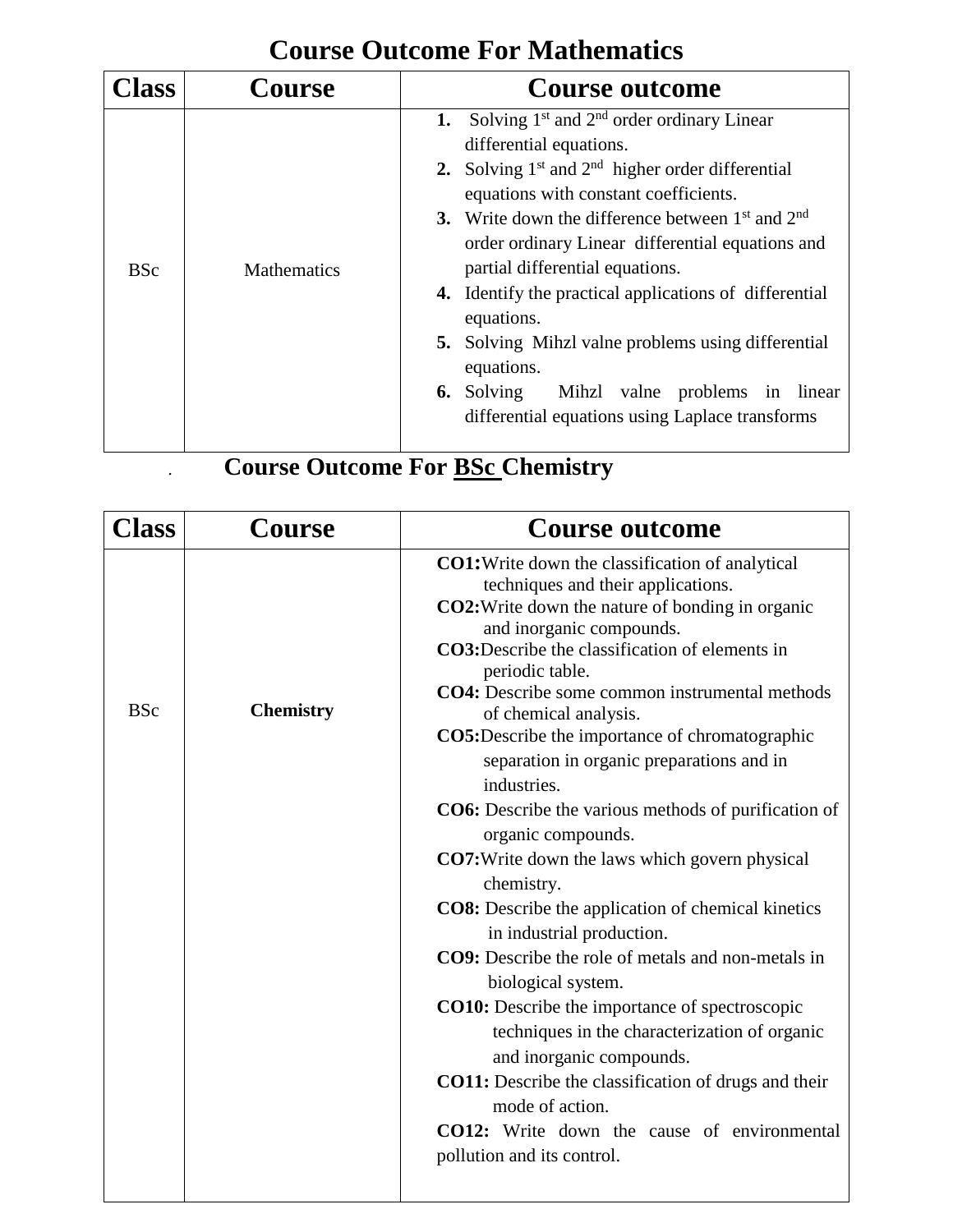## **Course Outcome For Mathematics**

| <b>ass</b> | Course             | <b>Course outcome</b>                                                                                                                       |
|------------|--------------------|---------------------------------------------------------------------------------------------------------------------------------------------|
|            | <b>Mathematics</b> | Solving $1st$ and $2nd$ order ordinary Linear<br>1.<br>differential equations.                                                              |
|            |                    | 2. Solving $1st$ and $2nd$ higher order differential<br>equations with constant coefficients.                                               |
| <b>BSc</b> |                    | 3. Write down the difference between $1st$ and $2nd$<br>order ordinary Linear differential equations and<br>partial differential equations. |
|            |                    | <b>4.</b> Identify the practical applications of differential<br>equations.                                                                 |
|            |                    | <b>5.</b> Solving Mihzl valne problems using differential<br>equations.                                                                     |
|            |                    | <b>6.</b> Solving Mihzl valne problems in linear<br>differential equations using Laplace transforms                                         |

# **Course Outcome For <u>BSc</u> Chemistry**

| Class      | <b>Course</b>    | <b>Course outcome</b>                                                                                                                                                                                                                                                                                                                                                                                                                                                                                                                                                                                                                                                                                                                                                                                                                                                                                                                                                                                                                                                                      |
|------------|------------------|--------------------------------------------------------------------------------------------------------------------------------------------------------------------------------------------------------------------------------------------------------------------------------------------------------------------------------------------------------------------------------------------------------------------------------------------------------------------------------------------------------------------------------------------------------------------------------------------------------------------------------------------------------------------------------------------------------------------------------------------------------------------------------------------------------------------------------------------------------------------------------------------------------------------------------------------------------------------------------------------------------------------------------------------------------------------------------------------|
| <b>BSc</b> | <b>Chemistry</b> | <b>CO1:</b> Write down the classification of analytical<br>techniques and their applications.<br>CO2: Write down the nature of bonding in organic<br>and inorganic compounds.<br>CO3:Describe the classification of elements in<br>periodic table.<br><b>CO4:</b> Describe some common instrumental methods<br>of chemical analysis.<br><b>CO5:</b> Describe the importance of chromatographic<br>separation in organic preparations and in<br>industries.<br><b>CO6:</b> Describe the various methods of purification of<br>organic compounds.<br><b>CO7:</b> Write down the laws which govern physical<br>chemistry.<br><b>CO8:</b> Describe the application of chemical kinetics<br>in industrial production.<br>CO9: Describe the role of metals and non-metals in<br>biological system.<br><b>CO10:</b> Describe the importance of spectroscopic<br>techniques in the characterization of organic<br>and inorganic compounds.<br>CO11: Describe the classification of drugs and their<br>mode of action.<br>CO12: Write down the cause of environmental<br>pollution and its control. |
|            |                  |                                                                                                                                                                                                                                                                                                                                                                                                                                                                                                                                                                                                                                                                                                                                                                                                                                                                                                                                                                                                                                                                                            |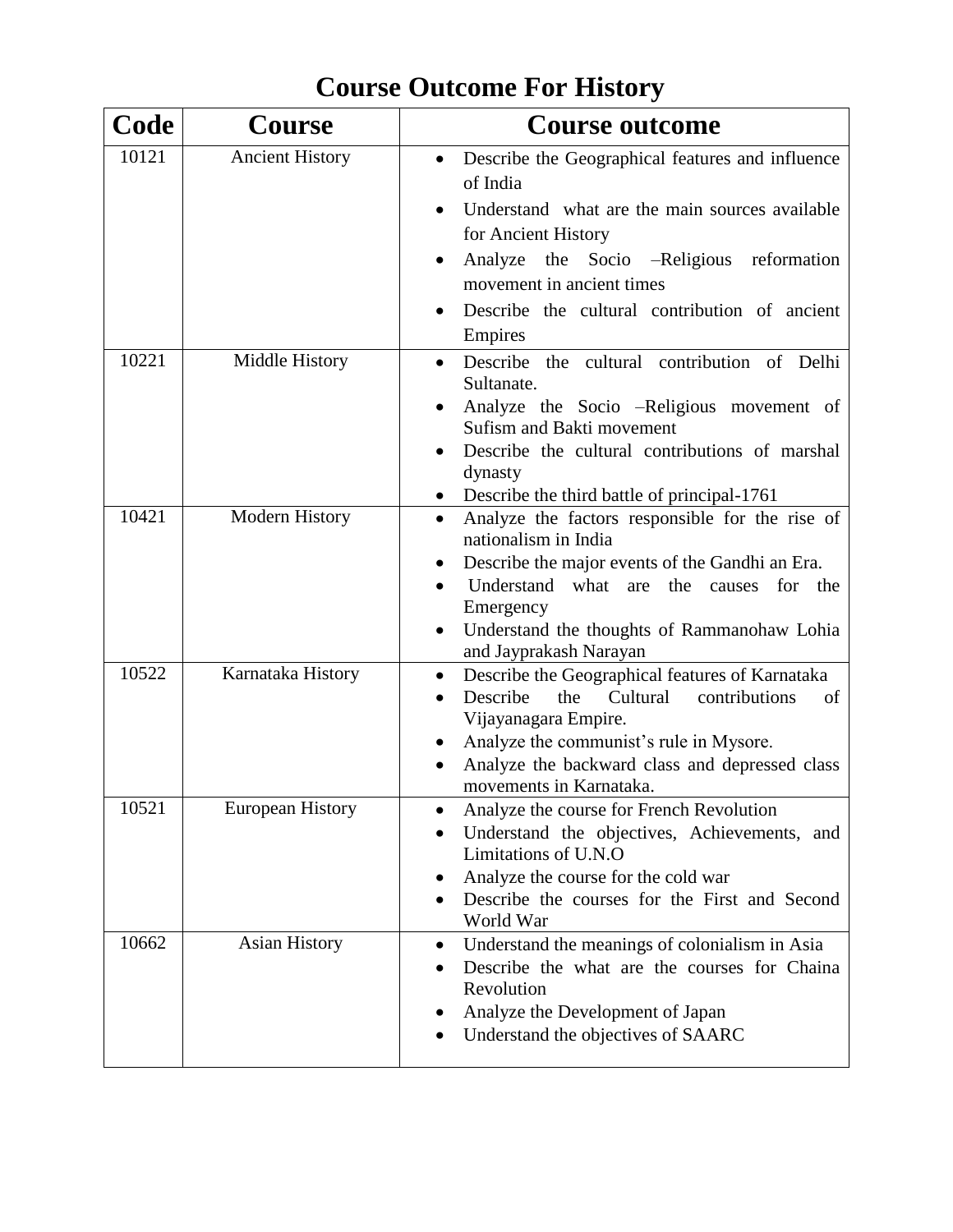#### **Code Course Course outcome** 10121 Ancient History **Describe the Geographical features and influence** of India Understand what are the main sources available for Ancient History Analyze the Socio –Religious reformation movement in ancient times • Describe the cultural contribution of ancient Empires 10221 Middle History Describe the cultural contribution of Delhi Sultanate. Analyze the Socio –Religious movement of Sufism and Bakti movement Describe the cultural contributions of marshal dynasty • Describe the third battle of principal-1761 10421 Modern History • Analyze the factors responsible for the rise of nationalism in India Describe the major events of the Gandhi an Era. Understand what are the causes for the Emergency Understand the thoughts of Rammanohaw Lohia and Jayprakash Narayan 10522 | Karnataka History | • Describe the Geographical features of Karnataka • Describe the Cultural contributions of Vijayanagara Empire. Analyze the communist's rule in Mysore. Analyze the backward class and depressed class movements in Karnataka. 10521 European History **Conserversity** Analyze the course for French Revolution Understand the objectives, Achievements, and Limitations of U.N.O • Analyze the course for the cold war Describe the courses for the First and Second World War 10662 Asian History **T** • Understand the meanings of colonialism in Asia Describe the what are the courses for Chaina Revolution • Analyze the Development of Japan Understand the objectives of SAARC

#### **Course Outcome For History**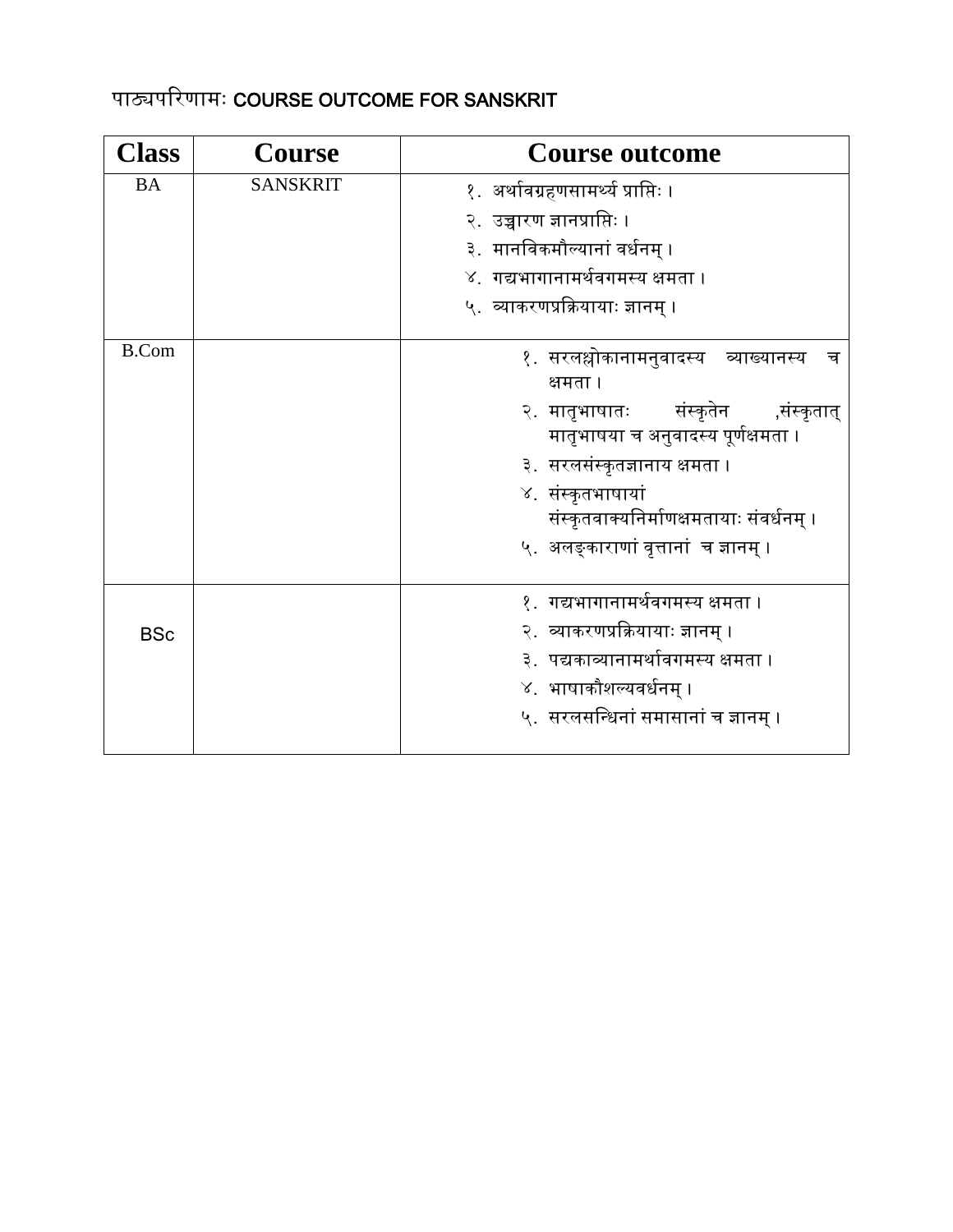#### पाठ्यपरिणामः COURSE OUTCOME FOR SANSKRIT

| <b>Class</b> | <b>Course</b>   | <b>Course outcome</b>                                                                                                                                                                                                                                                         |
|--------------|-----------------|-------------------------------------------------------------------------------------------------------------------------------------------------------------------------------------------------------------------------------------------------------------------------------|
| <b>BA</b>    | <b>SANSKRIT</b> | १. अर्थावग्रहणसामर्थ्य प्राप्तिः ।<br>२.  उच्चारण ज्ञानप्राप्तिः ।<br>३. मानविकमौल्यानां वर्धनम् ।<br>४.  गद्यभागानामर्थवगमस्य क्षमता ।<br>५.  व्याकरणप्रक्रियायाः ज्ञानम् ।                                                                                                  |
| <b>B.Com</b> |                 | १. सरलश्लोकानामनुवादस्य व्याख्यानस्य<br>च<br>क्षमता ।<br>२ मातृभाषातः संस्कृतेन ,संस्कृतात्<br>मातृभाषया च अनुवादस्य पूर्णक्षमता ।<br>३.  सरलसंस्कृतज्ञानाय क्षमता ।<br>४. संस्कृतभाषायां<br>संस्कृतवाक्यनिर्माणक्षमतायाः संवर्धनम् ।<br>५. अलङ्काराणां वृत्तानां च ज्ञानम् । |
| <b>BSc</b>   |                 | १.  गद्यभागानामर्थवगमस्य क्षमता ।<br>२.  व्याकरणप्रक्रियायाः ज्ञानम् ।<br>३.  पद्यकाव्यानामर्थावगमस्य क्षमता ।<br>४. भाषाकौशल्यवर्धनम् ।<br>५. सरलसन्धिनां समासानां च ज्ञानम् ।                                                                                               |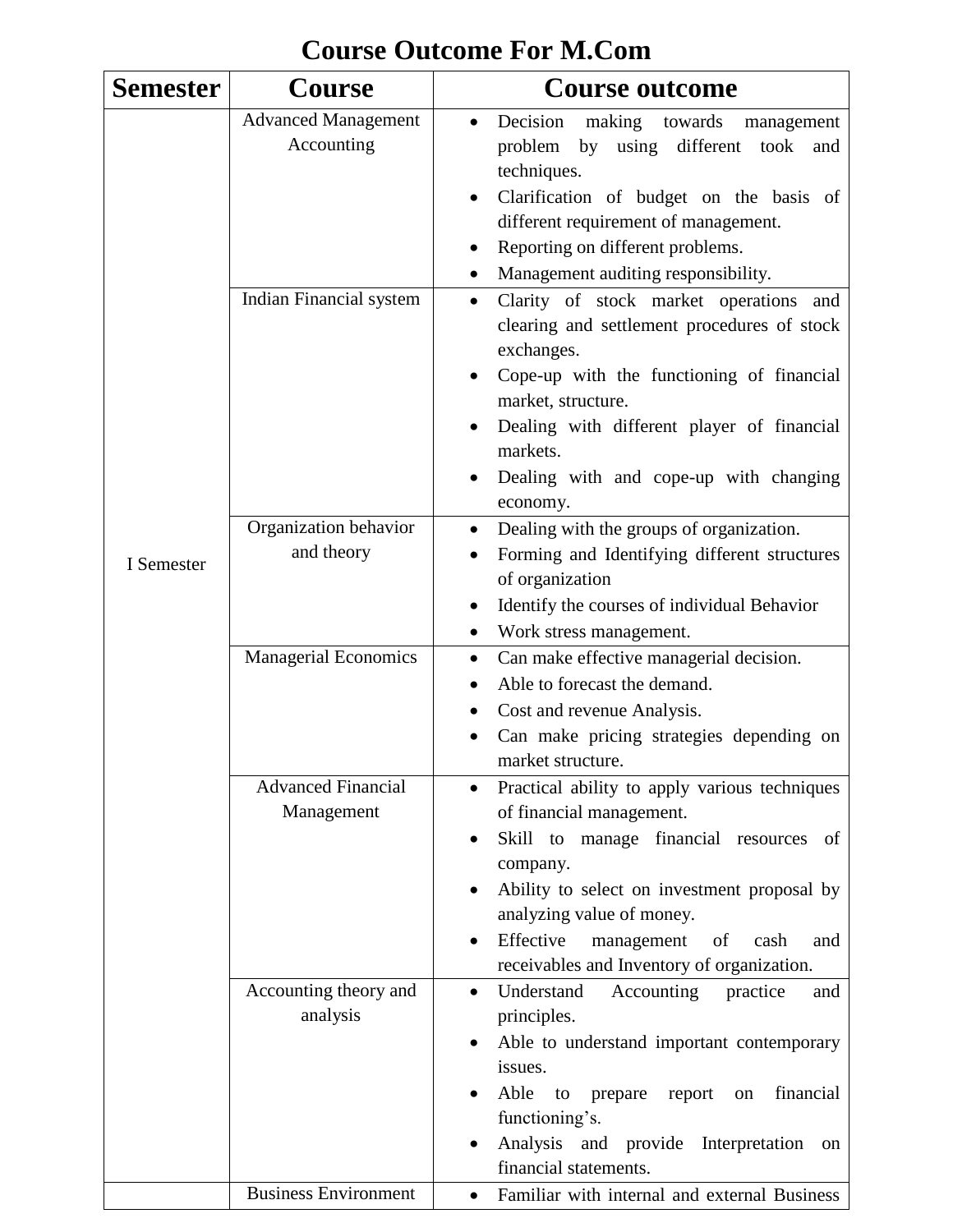| <b>Semester</b> | <b>Course</b>                            | <b>Course outcome</b>                                                                                                                                                                                                                                                                                                               |
|-----------------|------------------------------------------|-------------------------------------------------------------------------------------------------------------------------------------------------------------------------------------------------------------------------------------------------------------------------------------------------------------------------------------|
|                 | <b>Advanced Management</b><br>Accounting | Decision making towards<br>management<br>problem<br>by using different<br>took<br>and<br>techniques.<br>Clarification of budget on the basis of<br>different requirement of management.<br>Reporting on different problems.<br>Management auditing responsibility.                                                                  |
|                 | Indian Financial system                  | Clarity of stock market operations and<br>$\bullet$<br>clearing and settlement procedures of stock<br>exchanges.<br>Cope-up with the functioning of financial<br>market, structure.<br>Dealing with different player of financial<br>markets.<br>Dealing with and cope-up with changing<br>economy.                                 |
| I Semester      | Organization behavior<br>and theory      | Dealing with the groups of organization.<br>$\bullet$<br>Forming and Identifying different structures<br>of organization<br>Identify the courses of individual Behavior<br>Work stress management.<br>$\bullet$                                                                                                                     |
|                 | <b>Managerial Economics</b>              | Can make effective managerial decision.<br>$\bullet$<br>Able to forecast the demand.<br>Cost and revenue Analysis.<br>Can make pricing strategies depending on<br>market structure.                                                                                                                                                 |
|                 | <b>Advanced Financial</b><br>Management  | Practical ability to apply various techniques<br>$\bullet$<br>of financial management.<br>Skill to manage financial resources of<br>$\bullet$<br>company.<br>Ability to select on investment proposal by<br>analyzing value of money.<br>Effective<br>management<br>of<br>cash<br>and<br>receivables and Inventory of organization. |
|                 | Accounting theory and<br>analysis        | Understand<br>Accounting<br>practice<br>and<br>$\bullet$<br>principles.<br>Able to understand important contemporary<br>$\bullet$<br>issues.<br>Able<br>financial<br>to<br>report<br>prepare<br>on<br>functioning's.<br>Analysis and provide Interpretation<br>on<br>financial statements.                                          |
|                 | <b>Business Environment</b>              | Familiar with internal and external Business<br>$\bullet$                                                                                                                                                                                                                                                                           |

## **Course Outcome For M.Com**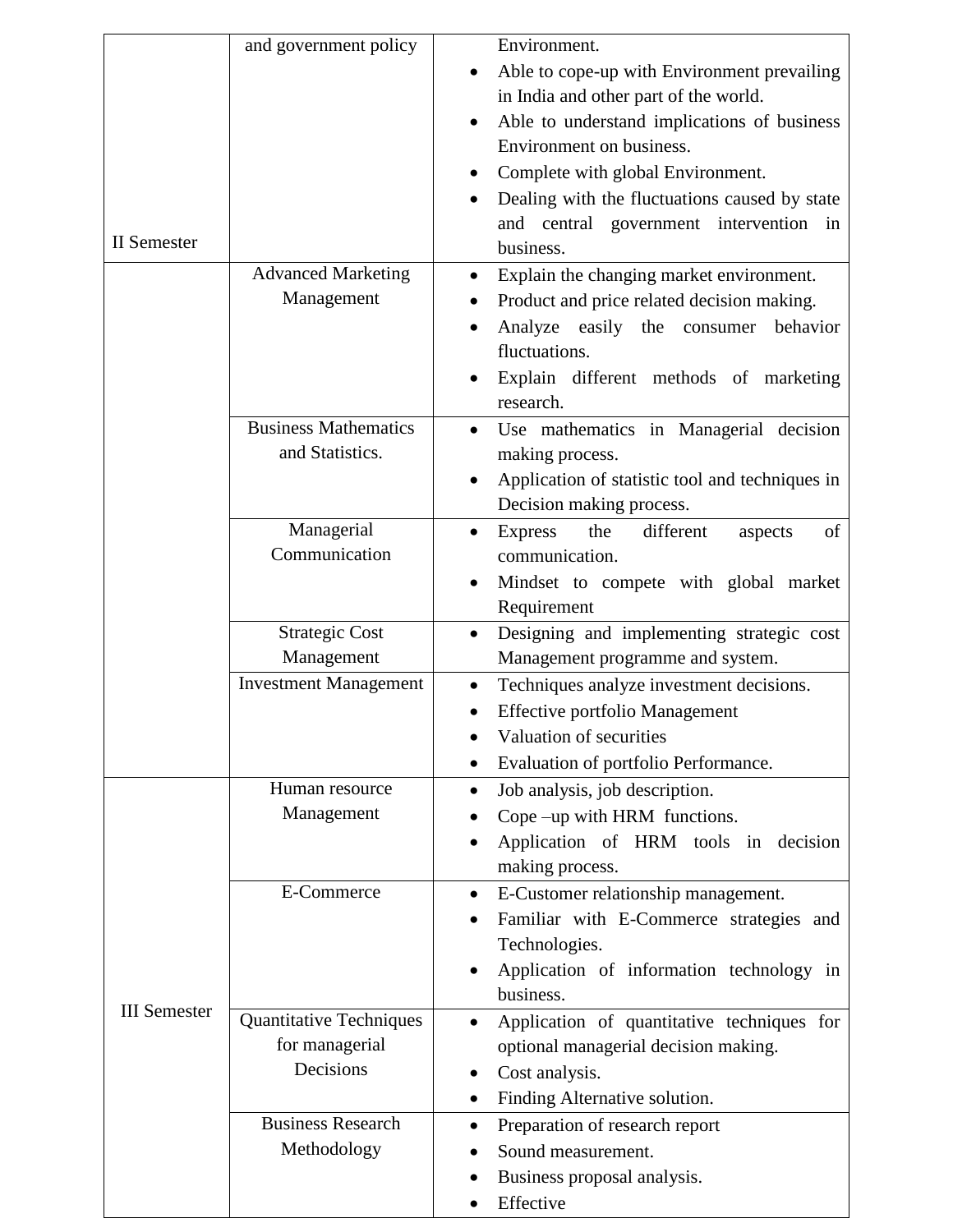|                     | and government policy          |           | Environment.                                    |
|---------------------|--------------------------------|-----------|-------------------------------------------------|
|                     |                                |           | Able to cope-up with Environment prevailing     |
|                     |                                |           | in India and other part of the world.           |
|                     |                                |           | Able to understand implications of business     |
|                     |                                |           | Environment on business.                        |
|                     |                                |           | Complete with global Environment.               |
|                     |                                |           | Dealing with the fluctuations caused by state   |
|                     |                                |           | and central government intervention in          |
| <b>II</b> Semester  |                                |           | business.                                       |
|                     | <b>Advanced Marketing</b>      |           | Explain the changing market environment.        |
|                     | Management                     |           | Product and price related decision making.      |
|                     |                                |           | Analyze easily the consumer<br>behavior         |
|                     |                                |           | fluctuations.                                   |
|                     |                                |           | Explain different methods of marketing          |
|                     |                                |           | research.                                       |
|                     | <b>Business Mathematics</b>    |           | Use mathematics in Managerial decision          |
|                     | and Statistics.                |           | making process.                                 |
|                     |                                |           | Application of statistic tool and techniques in |
|                     |                                |           | Decision making process.                        |
|                     | Managerial                     |           | Express<br>the<br>different<br>of<br>aspects    |
|                     | Communication                  |           | communication.                                  |
|                     |                                |           | Mindset to compete with global market           |
|                     |                                |           | Requirement                                     |
|                     | <b>Strategic Cost</b>          |           | Designing and implementing strategic cost       |
|                     | Management                     |           | Management programme and system.                |
|                     | <b>Investment Management</b>   |           | Techniques analyze investment decisions.        |
|                     |                                |           | <b>Effective portfolio Management</b>           |
|                     |                                |           | Valuation of securities                         |
|                     |                                |           | Evaluation of portfolio Performance.            |
|                     | Human resource                 | ٠         | Job analysis, job description.                  |
|                     | Management                     |           | Cope -up with HRM functions.                    |
|                     |                                |           | Application of HRM tools in decision            |
|                     |                                |           | making process.                                 |
|                     | E-Commerce                     | $\bullet$ | E-Customer relationship management.             |
|                     |                                | $\bullet$ | Familiar with E-Commerce strategies and         |
|                     |                                |           | Technologies.                                   |
|                     |                                |           | Application of information technology in        |
| <b>III</b> Semester |                                |           | business.                                       |
|                     | <b>Quantitative Techniques</b> | $\bullet$ | Application of quantitative techniques for      |
|                     | for managerial                 |           | optional managerial decision making.            |
|                     | Decisions                      |           | Cost analysis.                                  |
|                     |                                | ٠         | Finding Alternative solution.                   |
|                     | <b>Business Research</b>       | $\bullet$ | Preparation of research report                  |
|                     | Methodology                    |           | Sound measurement.                              |
|                     |                                |           | Business proposal analysis.                     |
|                     |                                |           | Effective                                       |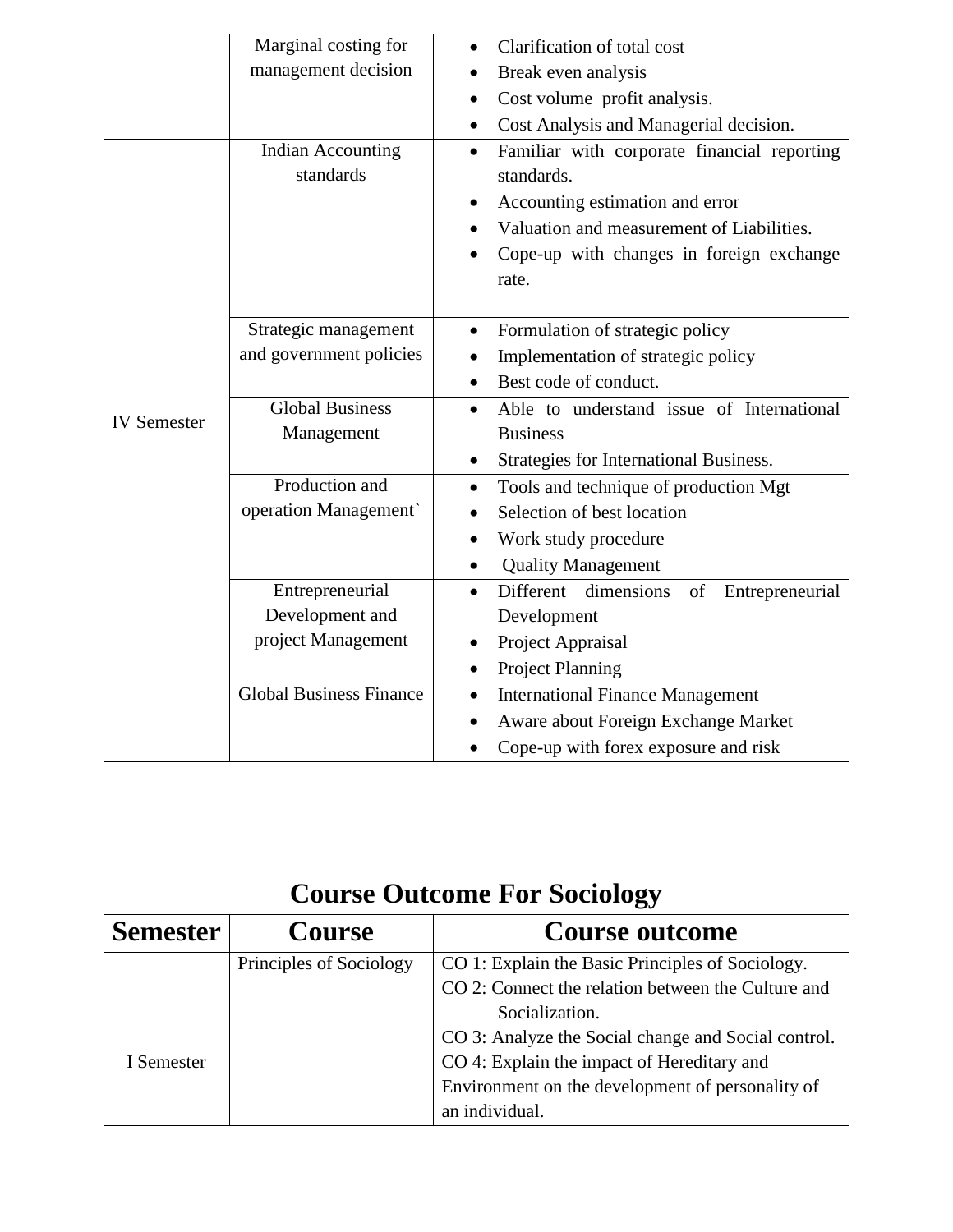|                    | Marginal costing for                  | Clarification of total cost                                                                                                                            |
|--------------------|---------------------------------------|--------------------------------------------------------------------------------------------------------------------------------------------------------|
|                    | management decision                   | Break even analysis                                                                                                                                    |
|                    |                                       | Cost volume profit analysis.                                                                                                                           |
|                    |                                       | Cost Analysis and Managerial decision.<br>٠                                                                                                            |
|                    | <b>Indian Accounting</b><br>standards | Familiar with corporate financial reporting<br>$\bullet$<br>standards.<br>Accounting estimation and error<br>Valuation and measurement of Liabilities. |
|                    |                                       | Cope-up with changes in foreign exchange<br>rate.                                                                                                      |
|                    | Strategic management                  | Formulation of strategic policy                                                                                                                        |
|                    | and government policies               | Implementation of strategic policy                                                                                                                     |
|                    |                                       | Best code of conduct.                                                                                                                                  |
| <b>IV</b> Semester | <b>Global Business</b>                | Able to understand issue of International<br>$\bullet$                                                                                                 |
|                    | Management                            | <b>Business</b>                                                                                                                                        |
|                    |                                       | Strategies for International Business.<br>٠                                                                                                            |
|                    | Production and                        | Tools and technique of production Mgt<br>$\bullet$                                                                                                     |
|                    | operation Management                  | Selection of best location                                                                                                                             |
|                    |                                       | Work study procedure                                                                                                                                   |
|                    |                                       | <b>Quality Management</b>                                                                                                                              |
|                    | Entrepreneurial                       | Different dimensions<br>of<br>Entrepreneurial                                                                                                          |
|                    | Development and                       | Development                                                                                                                                            |
|                    | project Management                    | Project Appraisal                                                                                                                                      |
|                    |                                       | <b>Project Planning</b>                                                                                                                                |
|                    | <b>Global Business Finance</b>        | <b>International Finance Management</b><br>٠                                                                                                           |
|                    |                                       | Aware about Foreign Exchange Market                                                                                                                    |
|                    |                                       | Cope-up with forex exposure and risk                                                                                                                   |

# **Course Outcome For Sociology**

| <b>Semester</b> | <b>Course</b>           | <b>Course outcome</b>                               |
|-----------------|-------------------------|-----------------------------------------------------|
|                 | Principles of Sociology | CO 1: Explain the Basic Principles of Sociology.    |
|                 |                         | CO 2: Connect the relation between the Culture and  |
|                 |                         | Socialization.                                      |
|                 |                         | CO 3: Analyze the Social change and Social control. |
| I Semester      |                         | CO 4: Explain the impact of Hereditary and          |
|                 |                         | Environment on the development of personality of    |
|                 |                         | an individual.                                      |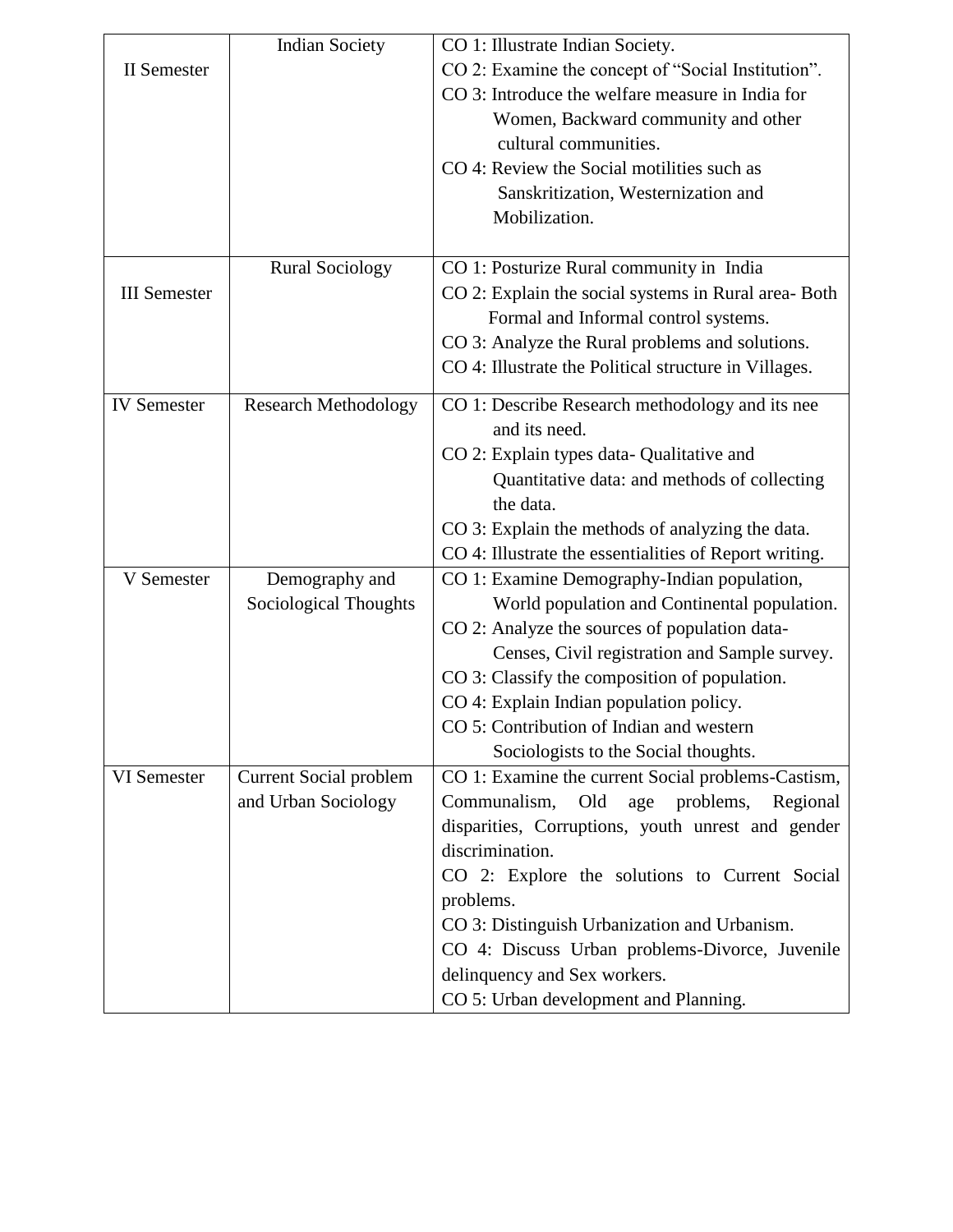|                     | <b>Indian Society</b>         | CO 1: Illustrate Indian Society.                                 |
|---------------------|-------------------------------|------------------------------------------------------------------|
| <b>II</b> Semester  |                               | CO 2: Examine the concept of "Social Institution".               |
|                     |                               | CO 3: Introduce the welfare measure in India for                 |
|                     |                               | Women, Backward community and other                              |
|                     |                               | cultural communities.                                            |
|                     |                               | CO 4: Review the Social motilities such as                       |
|                     |                               | Sanskritization, Westernization and                              |
|                     |                               | Mobilization.                                                    |
|                     |                               |                                                                  |
|                     | <b>Rural Sociology</b>        | CO 1: Posturize Rural community in India                         |
| <b>III</b> Semester |                               | CO 2: Explain the social systems in Rural area-Both              |
|                     |                               | Formal and Informal control systems.                             |
|                     |                               | CO 3: Analyze the Rural problems and solutions.                  |
|                     |                               | CO 4: Illustrate the Political structure in Villages.            |
|                     |                               |                                                                  |
| <b>IV</b> Semester  | <b>Research Methodology</b>   | CO 1: Describe Research methodology and its nee<br>and its need. |
|                     |                               |                                                                  |
|                     |                               | CO 2: Explain types data- Qualitative and                        |
|                     |                               | Quantitative data: and methods of collecting                     |
|                     |                               | the data.                                                        |
|                     |                               | CO 3: Explain the methods of analyzing the data.                 |
|                     |                               | CO 4: Illustrate the essentialities of Report writing.           |
| V Semester          | Demography and                | CO 1: Examine Demography-Indian population,                      |
|                     | Sociological Thoughts         | World population and Continental population.                     |
|                     |                               | CO 2: Analyze the sources of population data-                    |
|                     |                               | Censes, Civil registration and Sample survey.                    |
|                     |                               | CO 3: Classify the composition of population.                    |
|                     |                               | CO 4: Explain Indian population policy.                          |
|                     |                               | CO 5: Contribution of Indian and western                         |
|                     |                               | Sociologists to the Social thoughts.                             |
| VI Semester         | <b>Current Social problem</b> | CO 1: Examine the current Social problems-Castism,               |
|                     | and Urban Sociology           | Communalism, Old<br>age problems,<br>Regional                    |
|                     |                               | disparities, Corruptions, youth unrest and gender                |
|                     |                               | discrimination.                                                  |
|                     |                               | CO 2: Explore the solutions to Current Social                    |
|                     |                               | problems.                                                        |
|                     |                               | CO 3: Distinguish Urbanization and Urbanism.                     |
|                     |                               | CO 4: Discuss Urban problems-Divorce, Juvenile                   |
|                     |                               | delinquency and Sex workers.                                     |
|                     |                               | CO 5: Urban development and Planning.                            |